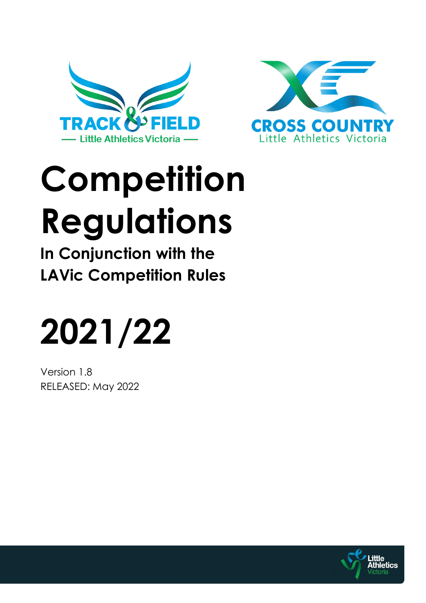



# **Competition Regulations**

**In Conjunction with the LAVic Competition Rules**

# **2021/22**

Version 1.8 RELEASED: May 2022

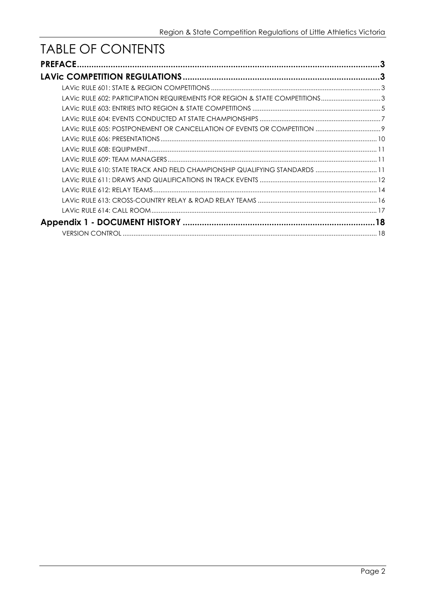# TABLE OF CONTENTS

|                                                                             | 3 |
|-----------------------------------------------------------------------------|---|
|                                                                             |   |
|                                                                             |   |
| LAVic RULE 602: PARTICIPATION REQUIREMENTS FOR REGION & STATE COMPETITIONS3 |   |
|                                                                             |   |
|                                                                             |   |
|                                                                             |   |
|                                                                             |   |
|                                                                             |   |
|                                                                             |   |
| LAVic RULE 610: STATE TRACK AND FIELD CHAMPIONSHIP QUALIFYING STANDARDS  11 |   |
|                                                                             |   |
|                                                                             |   |
|                                                                             |   |
|                                                                             |   |
|                                                                             |   |
|                                                                             |   |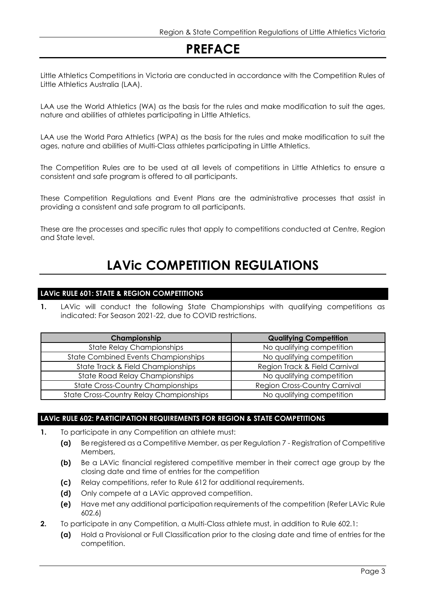# **PREFACE**

Little Athletics Competitions in Victoria are conducted in accordance with the Competition Rules of Little Athletics Australia (LAA).

LAA use the World Athletics (WA) as the basis for the rules and make modification to suit the ages, nature and abilities of athletes participating in Little Athletics.

LAA use the World Para Athletics (WPA) as the basis for the rules and make modification to suit the ages, nature and abilities of Multi-Class athletes participating in Little Athletics.

The Competition Rules are to be used at all levels of competitions in Little Athletics to ensure a consistent and safe program is offered to all participants.

These Competition Regulations and Event Plans are the administrative processes that assist in providing a consistent and safe program to all participants.

These are the processes and specific rules that apply to competitions conducted at Centre, Region and State level.

# **LAVic COMPETITION REGULATIONS**

# **LAVic RULE 601: STATE & REGION COMPETITIONS**

**1.** LAVic will conduct the following State Championships with qualifying competitions as indicated: For Season 2021-22, due to COVID restrictions.

| Championship                                   | <b>Qualifying Competition</b>        |
|------------------------------------------------|--------------------------------------|
| <b>State Relay Championships</b>               | No qualifying competition            |
| <b>State Combined Events Championships</b>     | No qualifying competition            |
| State Track & Field Championships              | Region Track & Field Carnival        |
| <b>State Road Relay Championships</b>          | No qualifying competition            |
| <b>State Cross-Country Championships</b>       | <b>Region Cross-Country Carnival</b> |
| <b>State Cross-Country Relay Championships</b> | No qualifying competition            |

# **LAVic RULE 602: PARTICIPATION REQUIREMENTS FOR REGION & STATE COMPETITIONS**

- **1.** To participate in any Competition an athlete must:
	- **(a)** Be registered as a Competitive Member, as per Regulation 7 Registration of Competitive Members,
	- **(b)** Be a LAVic financial reaistered competitive member in their correct age group by the closing date and time of entries for the competition
	- **(c)** Relay competitions, refer to Rule 612 for additional requirements.
	- **(d)** Only compete at a LAVic approved competition.
	- **(e)** Have met any additional participation requirements of the competition (Refer LAVic Rule 602.6)
- **2.** To participate in any Competition, a Multi-Class athlete must, in addition to Rule 602.1:
	- **(a)** Hold a Provisional or Full Classification prior to the closing date and time of entries for the competition.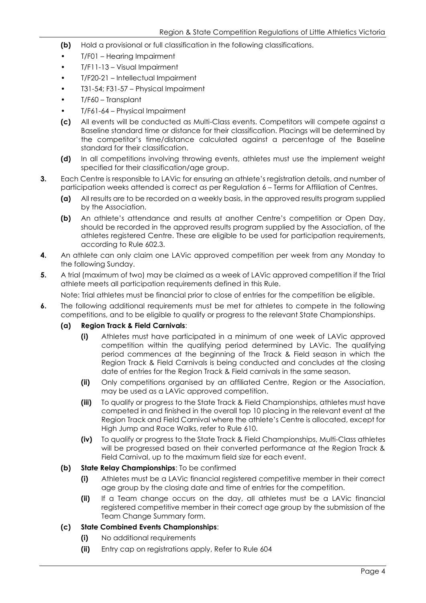- **(b)** Hold a provisional or full classification in the following classifications.
- T/F01 Hearing Impairment
- T/F11-13 Visual Impairment
- T/F20-21 Intellectual Impairment
- T31-54; F31-57 Physical Impairment
- T/F60 Transplant
- T/F61-64 Physical Impairment
- **(c)** All events will be conducted as Multi-Class events. Competitors will compete against a Baseline standard time or distance for their classification. Placings will be determined by the competitor's time/distance calculated against a percentage of the Baseline standard for their classification.
- **(d)** In all competitions involving throwing events, athletes must use the implement weight specified for their classification/age group.
- **3.** Each Centre is responsible to LAVic for ensuring an athlete's registration details, and number of participation weeks attended is correct as per Regulation 6 – Terms for Affiliation of Centres.
	- **(a)** All results are to be recorded on a weekly basis, in the approved results program supplied by the Association.
	- **(b)** An athlete's attendance and results at another Centre's competition or Open Day, should be recorded in the approved results program supplied by the Association, of the athletes registered Centre. These are eligible to be used for participation requirements, according to Rule 602.3.
- **4.** An athlete can only claim one LAVic approved competition per week from any Monday to the following Sunday.
- **5.** A trial (maximum of two) may be claimed as a week of LAVic approved competition if the Trial athlete meets all participation requirements defined in this Rule.

Note: Trial athletes must be financial prior to close of entries for the competition be eligible.

- **6.** The following additional requirements must be met for athletes to compete in the following competitions, and to be eligible to qualify or progress to the relevant State Championships.
	- **(a) Region Track & Field Carnivals**:
		- **(i)** Athletes must have participated in a minimum of one week of LAVic approved competition within the qualifying period determined by LAVic. The qualifying period commences at the beginning of the Track & Field season in which the Region Track & Field Carnivals is being conducted and concludes at the closing date of entries for the Region Track & Field carnivals in the same season.
		- **(ii)** Only competitions organised by an affiliated Centre, Region or the Association, may be used as a LAVic approved competition.
		- **(iii)** To qualify or progress to the State Track & Field Championships, athletes must have competed in and finished in the overall top 10 placing in the relevant event at the Region Track and Field Carnival where the athlete's Centre is allocated, except for High Jump and Race Walks, refer to Rule 610.
		- **(iv)** To qualify or progress to the State Track & Field Championships, Multi-Class athletes will be progressed based on their converted performance at the Region Track & Field Carnival, up to the maximum field size for each event.
	- **(b) State Relay Championships**: To be confirmed
		- **(i)** Athletes must be a LAVic financial registered competitive member in their correct age group by the closing date and time of entries for the competition.
		- **(ii)** If a Team change occurs on the day, all athletes must be a LAVic financial registered competitive member in their correct age group by the submission of the Team Change Summary form.

# **(c) State Combined Events Championships**:

- **(i)** No additional requirements
- **(ii)** Entry cap on registrations apply, Refer to Rule 604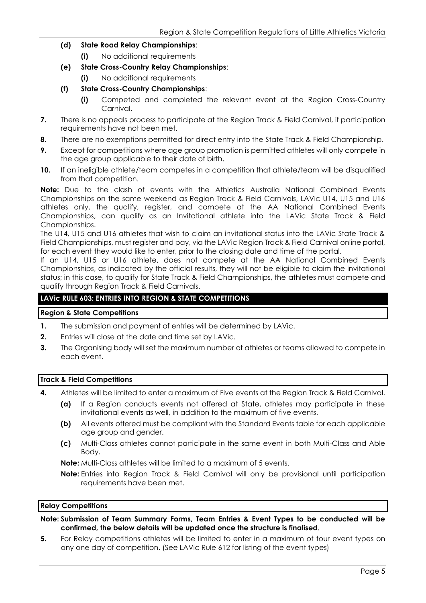- **(d) State Road Relay Championships**:
	- **(i)** No additional requirements
- **(e) State Cross-Country Relay Championships**:
	- **(i)** No additional requirements
- **(f) State Cross-Country Championships**:
	- **(i)** Competed and completed the relevant event at the Region Cross-Country Carnival.
- **7.** There is no appeals process to participate at the Region Track & Field Carnival, if participation requirements have not been met.
- **8.** There are no exemptions permitted for direct entry into the State Track & Field Championship.
- **9.** Except for competitions where age group promotion is permitted athletes will only compete in the age group applicable to their date of birth.
- **10.** If an ineligible athlete/team competes in a competition that athlete/team will be disqualified from that competition.

**Note:** Due to the clash of events with the Athletics Australia National Combined Events Championships on the same weekend as Region Track & Field Carnivals, LAVic U14, U15 and U16 athletes only, the qualify, register, and compete at the AA National Combined Events Championships, can qualify as an Invitational athlete into the LAVic State Track & Field Championships.

The U14, U15 and U16 athletes that wish to claim an invitational status into the LAVic State Track & Field Championships, must register and pay, via the LAVic Region Track & Field Carnival online portal, for each event they would like to enter, prior to the closing date and time of the portal.

If an U14, U15 or U16 athlete, does not compete at the AA National Combined Events Championships, as indicated by the official results, they will not be eligible to claim the invitational status; in this case, to qualify for State Track & Field Championships, the athletes must compete and qualify through Region Track & Field Carnivals.

# **LAVic RULE 603: ENTRIES INTO REGION & STATE COMPETITIONS**

# **Region & State Competitions**

- **1.** The submission and payment of entries will be determined by LAVic.
- **2.** Entries will close at the date and time set by LAVic.
- **3.** The Organising body will set the maximum number of athletes or teams allowed to compete in each event.

## **Track & Field Competitions**

- **4.** Athletes will be limited to enter a maximum of Five events at the Region Track & Field Carnival.
	- **(a)** If a Region conducts events not offered at State, athletes may participate in these invitational events as well, in addition to the maximum of five events.
	- **(b)** All events offered must be compliant with the Standard Events table for each applicable age group and gender.
	- **(c)** Multi-Class athletes cannot participate in the same event in both Multi-Class and Able Body.

**Note:** Multi-Class athletes will be limited to a maximum of 5 events.

**Note:** Entries into Region Track & Field Carnival will only be provisional until participation requirements have been met.

#### **Relay Competitions**

**Note: Submission of Team Summary Forms, Team Entries & Event Types to be conducted will be confirmed, the below details will be updated once the structure is finalised**.

**5.** For Relay competitions athletes will be limited to enter in a maximum of four event types on any one day of competition. (See LAVic Rule 612 for listing of the event types)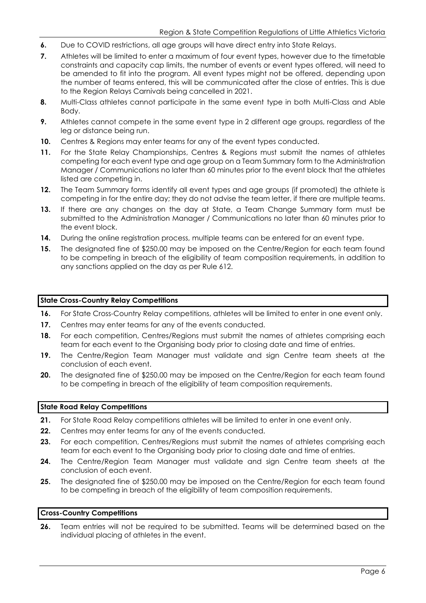- **6.** Due to COVID restrictions, all age groups will have direct entry into State Relays.
- **7.** Athletes will be limited to enter a maximum of four event types, however due to the timetable constraints and capacity cap limits, the number of events or event types offered, will need to be amended to fit into the program. All event types might not be offered, depending upon the number of teams entered, this will be communicated after the close of entries. This is due to the Region Relays Carnivals being cancelled in 2021.
- **8.** Multi-Class athletes cannot participate in the same event type in both Multi-Class and Able Body.
- **9.** Athletes cannot compete in the same event type in 2 different age groups, regardless of the leg or distance being run.
- **10.** Centres & Regions may enter teams for any of the event types conducted.
- **11.** For the State Relay Championships, Centres & Regions must submit the names of athletes competing for each event type and age group on a Team Summary form to the Administration Manager / Communications no later than 60 minutes prior to the event block that the athletes listed are competing in.
- **12.** The Team Summary forms identify all event types and age groups (if promoted) the athlete is competing in for the entire day; they do not advise the team letter, if there are multiple teams.
- **13.** If there are any changes on the day at State, a Team Change Summary form must be submitted to the Administration Manager / Communications no later than 60 minutes prior to the event block.
- **14.** During the online registration process, multiple teams can be entered for an event type.
- **15.** The designated fine of \$250.00 may be imposed on the Centre/Region for each team found to be competing in breach of the eligibility of team composition requirements, in addition to any sanctions applied on the day as per Rule 612.

#### **State Cross-Country Relay Competitions**

- **16.** For State Cross-Country Relay competitions, athletes will be limited to enter in one event only.
- 17. Centres may enter teams for any of the events conducted.
- **18.** For each competition, Centres/Regions must submit the names of athletes comprising each team for each event to the Organising body prior to closing date and time of entries.
- **19.** The Centre/Region Team Manager must validate and sign Centre team sheets at the conclusion of each event.
- **20.** The designated fine of \$250.00 may be imposed on the Centre/Region for each team found to be competing in breach of the eligibility of team composition requirements.

#### **State Road Relay Competitions**

- **21.** For State Road Relay competitions athletes will be limited to enter in one event only.
- **22.** Centres may enter teams for any of the events conducted.
- 23. For each competition, Centres/Regions must submit the names of athletes comprising each team for each event to the Organising body prior to closing date and time of entries.
- **24.** The Centre/Region Team Manager must validate and sign Centre team sheets at the conclusion of each event.
- **25.** The designated fine of \$250.00 may be imposed on the Centre/Region for each team found to be competing in breach of the eligibility of team composition requirements.

#### **Cross-Country Competitions**

**26.** Team entries will not be required to be submitted. Teams will be determined based on the individual placing of athletes in the event.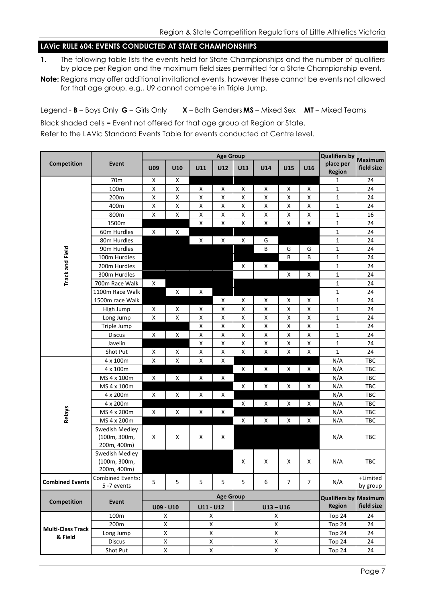# **LAVic RULE 604: EVENTS CONDUCTED AT STATE CHAMPIONSHIPS**

- **1.** The following table lists the events held for State Championships and the number of qualifiers by place per Region and the maximum field sizes permitted for a State Championship event.
- **Note:** Regions may offer additional invitational events, however these cannot be events not allowed for that age group. e.g., U9 cannot compete in Triple Jump.

Legend - **B** – Boys Only **G** – Girls Only **X** – Both Genders **MS** – Mixed Sex **MT** – Mixed Teams Black shaded cells = Event not offered for that age group at Region or State. Refer to the LAVic Standard Events Table for events conducted at Centre level.

|                                     |                                               | <b>Age Group</b>   |                    |                    |                    |                    |                    |                    | <b>Qualifiers by</b> | <b>Maximum</b>               |                      |
|-------------------------------------|-----------------------------------------------|--------------------|--------------------|--------------------|--------------------|--------------------|--------------------|--------------------|----------------------|------------------------------|----------------------|
| Competition                         | Event                                         | <b>U09</b>         | U10                | U11                | U12                | U13                | U14                | U15                | U16                  | place per                    | field size           |
|                                     |                                               |                    |                    |                    |                    |                    |                    |                    |                      | Region                       |                      |
|                                     | 70 <sub>m</sub>                               | $\pmb{\mathsf{X}}$ | X                  |                    |                    |                    |                    |                    |                      | 1                            | 24                   |
|                                     | 100m                                          | $\pmb{\mathsf{X}}$ | X                  | X                  | X                  | x                  | X                  | X                  | X                    | $\mathbf 1$                  | 24                   |
|                                     | 200m                                          | $\pmb{\mathsf{X}}$ | Χ                  | $\pmb{\mathsf{X}}$ | $\pmb{\mathsf{X}}$ | Χ                  | X                  | Χ                  | X                    | $\mathbf 1$                  | 24                   |
|                                     | 400m                                          | $\pmb{\mathsf{X}}$ | Χ                  | $\pmb{\mathsf{X}}$ | $\pmb{\mathsf{X}}$ | Χ                  | X                  | X                  | X                    | $\mathbf 1$                  | 24                   |
|                                     | 800m                                          | $\pmb{\mathsf{X}}$ | $\pmb{\mathsf{X}}$ | $\pmb{\mathsf{X}}$ | X                  | Χ                  | X                  | $\pmb{\mathsf{X}}$ | X                    | $\mathbf 1$                  | 16                   |
|                                     | 1500m                                         |                    |                    | X                  | $\pmb{\mathsf{X}}$ | Χ                  | $\pmb{\mathsf{X}}$ | X                  | Χ                    | $\mathbf 1$                  | 24                   |
|                                     | 60m Hurdles                                   | X                  | X                  |                    |                    |                    |                    |                    |                      | $\mathbf 1$                  | 24                   |
|                                     | 80m Hurdles                                   |                    |                    | $\pmb{\mathsf{X}}$ | X                  | X                  | G                  |                    |                      | $\mathbf 1$                  | 24                   |
| <b>Track and Field</b>              | 90m Hurdles                                   |                    |                    |                    |                    |                    | B                  | G                  | G                    | $\mathbf 1$                  | 24                   |
|                                     | 100m Hurdles                                  |                    |                    |                    |                    |                    |                    | B                  | B                    | $\mathbf 1$                  | 24                   |
|                                     | 200m Hurdles                                  |                    |                    |                    |                    | x                  | X                  |                    |                      | $\mathbf 1$                  | 24                   |
|                                     | 300m Hurdles                                  |                    |                    |                    |                    |                    |                    | X                  | X                    | $\mathbf 1$                  | 24                   |
|                                     | 700m Race Walk                                | X                  |                    |                    |                    |                    |                    |                    |                      | $\mathbf 1$                  | 24                   |
|                                     | 1100m Race Walk                               |                    | X                  | X                  |                    |                    |                    |                    |                      | $\mathbf 1$                  | 24                   |
|                                     | 1500m race Walk                               |                    |                    |                    | X                  | X                  | X                  | X                  | X                    | $\mathbf{1}$                 | 24                   |
|                                     | High Jump                                     | X                  | X                  | X                  | Χ                  | Χ                  | X                  | Χ                  | X                    | $\mathbf{1}$                 | 24                   |
|                                     | Long Jump                                     | $\pmb{\mathsf{X}}$ | Χ                  | $\pmb{\mathsf{X}}$ | X                  | Χ                  | X                  | Χ                  | X                    | $\mathbf{1}$                 | 24                   |
|                                     | Triple Jump                                   |                    |                    | $\pmb{\mathsf{X}}$ | $\pmb{\mathsf{X}}$ | Χ                  | $\pmb{\mathsf{X}}$ | X                  | Χ                    | $\mathbf{1}$                 | 24                   |
|                                     | <b>Discus</b>                                 | $\pmb{\mathsf{X}}$ | X                  | X                  | X                  | Χ                  | X                  | X                  | X                    | $\mathbf{1}$                 | 24                   |
|                                     | Javelin                                       |                    |                    | X                  | Χ                  | Χ                  | X                  | Χ                  | Χ                    | $\mathbf 1$                  | 24                   |
|                                     | Shot Put                                      | X                  | X                  | X                  | X                  | X                  | $\pmb{\mathsf{X}}$ | X                  | X                    | $\mathbf{1}$                 | 24                   |
|                                     | 4 x 100m                                      | $\pmb{\mathsf{X}}$ | $\pmb{\mathsf{X}}$ | $\mathsf X$        | X                  |                    |                    |                    |                      | N/A                          | TBC                  |
|                                     | 4 x 100m                                      |                    |                    |                    |                    | Χ                  | X                  | X                  | X                    | N/A                          | TBC                  |
|                                     | MS 4 x 100m                                   | $\pmb{\mathsf{X}}$ | X                  | X                  | X                  |                    |                    |                    |                      | N/A                          | TBC                  |
|                                     | MS 4 x 100m                                   |                    |                    |                    |                    | $\pmb{\mathsf{X}}$ | X                  | X                  | X                    | N/A                          | TBC                  |
|                                     | 4 x 200m                                      | $\pmb{\mathsf{X}}$ | X                  | X                  | $\pmb{\mathsf{X}}$ |                    |                    |                    |                      | N/A                          | TBC                  |
|                                     | 4 x 200m                                      |                    |                    |                    |                    | Χ                  | X                  | X                  | X                    | N/A                          | TBC                  |
| <b>Relays</b>                       | MS 4 x 200m                                   | $\pmb{\mathsf{X}}$ | X                  | X                  | X                  |                    |                    |                    |                      | N/A                          | TBC                  |
|                                     | MS 4 x 200m                                   |                    |                    |                    |                    | X                  | X                  | X                  | X                    | N/A                          | TBC                  |
|                                     | Swedish Medley<br>(100m, 300m,<br>200m, 400m) | X                  | X                  | X                  | X                  |                    |                    |                    |                      | N/A                          | TBC                  |
|                                     | Swedish Medley<br>(100m, 300m,<br>200m, 400m) |                    |                    |                    |                    | Χ                  | X                  | X                  | X                    | N/A                          | TBC                  |
| <b>Combined Events</b>              | <b>Combined Events:</b><br>5 -7 events        | 5                  | 5                  | 5                  | 5                  | 5                  | 6                  | $\overline{7}$     | $\overline{7}$       | N/A                          | +Limited<br>by group |
| Competition                         |                                               |                    | <b>Age Group</b>   |                    |                    |                    |                    |                    |                      | <b>Qualifiers by Maximum</b> |                      |
|                                     | Event                                         |                    | U09 - U10          | U11 - U12          |                    | $U13 - U16$        |                    |                    |                      | <b>Region</b>                | field size           |
| <b>Multi-Class Track</b><br>& Field | 100m                                          |                    | X                  | X                  |                    | $\pmb{\mathsf{X}}$ |                    |                    |                      | Top 24                       | 24                   |
|                                     | 200m                                          |                    | X                  | Χ                  |                    | $\pmb{\mathsf{X}}$ |                    |                    |                      | Top 24                       | 24                   |
|                                     | Long Jump                                     |                    | Χ                  | Χ                  |                    | $\pmb{\mathsf{X}}$ |                    |                    |                      | Top 24                       | 24                   |
|                                     | <b>Discus</b>                                 |                    | Χ                  | Χ                  |                    | $\pmb{\mathsf{X}}$ |                    |                    | Top 24               | 24                           |                      |
|                                     | Shot Put                                      |                    | Χ                  | Χ                  |                    |                    | $\pmb{\mathsf{X}}$ |                    |                      | Top 24                       | 24                   |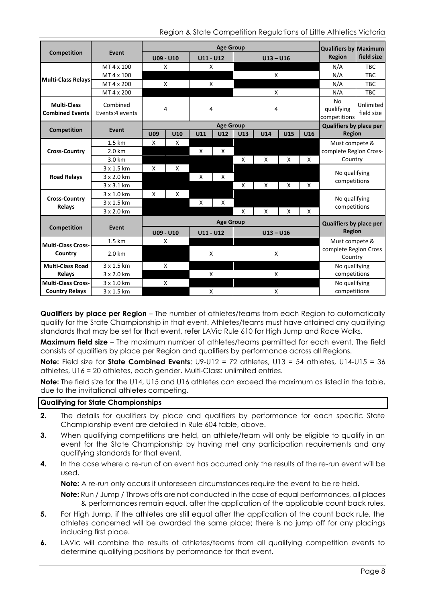Region & State Competition Regulations of Little Athletics Victoria

|                                                          |                             | <b>Age Group</b>                                   |     |             |                  |             |             |     | <b>Qualifiers by Maximum</b> |                                  |                         |
|----------------------------------------------------------|-----------------------------|----------------------------------------------------|-----|-------------|------------------|-------------|-------------|-----|------------------------------|----------------------------------|-------------------------|
| <b>Competition</b>                                       | Event                       | U09 - U10                                          |     | $U11 - U12$ |                  |             | $U13 - U16$ |     | <b>Region</b>                | field size                       |                         |
| MT 4 x 100                                               |                             | X                                                  |     | X           |                  |             |             |     | N/A                          | <b>TBC</b>                       |                         |
| Multi-Class Relays                                       | MT 4 x 100                  |                                                    |     |             |                  | X           |             |     |                              | N/A                              | <b>TBC</b>              |
|                                                          | MT 4 x 200                  |                                                    | X   |             | X                |             |             |     | N/A                          | <b>TBC</b>                       |                         |
|                                                          | MT 4 x 200                  |                                                    |     |             |                  | X           |             |     |                              | N/A                              | TBC                     |
| <b>Multi-Class</b><br><b>Combined Events</b>             | Combined<br>Events:4 events | 4                                                  |     | 4           |                  |             | 4           |     |                              | No<br>qualifying<br>competitions | Unlimited<br>field size |
| <b>Competition</b>                                       | Event                       |                                                    |     |             | <b>Age Group</b> |             |             |     |                              | Qualifiers by place per          |                         |
|                                                          |                             | <b>U09</b>                                         | U10 | U11         | U12              | U13         | U14         | U15 | U16                          | <b>Region</b>                    |                         |
|                                                          | 1.5 km                      | $\boldsymbol{\mathsf{X}}$                          | X   |             |                  |             |             |     |                              | Must compete &                   |                         |
| <b>Cross-Country</b>                                     | 2.0 km                      |                                                    |     | X           | X                |             |             |     |                              | complete Region Cross-           |                         |
|                                                          | 3.0 km                      |                                                    |     |             |                  | X           | X           | X   | $\mathsf{x}$                 | Country                          |                         |
|                                                          | 3 x 1.5 km                  | X                                                  | X   |             |                  |             |             |     |                              | No qualifying<br>competitions    |                         |
| <b>Road Relays</b>                                       | 3 x 2.0 km                  |                                                    |     | X           | X                |             |             |     |                              |                                  |                         |
|                                                          | 3 x 3.1 km                  |                                                    |     |             |                  | X           | x           | X   | X                            |                                  |                         |
| <b>Cross-Country</b>                                     | 3 x 1.0 km                  | X                                                  | X   |             |                  |             |             |     |                              | No qualifying<br>competitions    |                         |
| Relays                                                   | 3 x 1.5 km                  |                                                    |     | X           | X                |             |             |     |                              |                                  |                         |
|                                                          | 3 x 2.0 km                  |                                                    |     |             |                  | X           | X           | X   | X                            |                                  |                         |
|                                                          |                             | <b>Age Group</b><br><b>Qualifiers by place per</b> |     |             |                  |             |             |     |                              |                                  |                         |
| Competition                                              | Event                       | U09 - U10                                          |     | $U11 - U12$ |                  | $U13 - U16$ |             |     |                              | <b>Region</b>                    |                         |
|                                                          | 1.5 km                      |                                                    | X   |             |                  |             |             |     |                              | Must compete &                   |                         |
| <b>Multi-Class Cross-</b><br>Country<br>$2.0 \text{ km}$ |                             |                                                    |     | X           |                  | X           |             |     |                              | complete Region Cross<br>Country |                         |
| <b>Multi-Class Road</b>                                  | 3 x 1.5 km                  | X                                                  |     |             |                  |             |             |     |                              | No qualifying                    |                         |
| Relays                                                   | 3 x 2.0 km                  |                                                    |     | X           |                  | X           |             |     |                              | competitions                     |                         |
| <b>Multi-Class Cross-</b>                                | 3 x 1.0 km                  | X                                                  |     |             |                  |             |             |     | No qualifying                |                                  |                         |
| <b>Country Relays</b>                                    | 3 x 1.5 km                  |                                                    |     | X           |                  | X           |             |     | competitions                 |                                  |                         |

**Qualifiers by place per Region** – The number of athletes/teams from each Region to automatically qualify for the State Championship in that event. Athletes/teams must have attained any qualifying standards that may be set for that event, refer LAVic Rule 610 for High Jump and Race Walks.

**Maximum field size** – The maximum number of athletes/teams permitted for each event. The field consists of qualifiers by place per Region and qualifiers by performance across all Regions.

**Note:** Field size for **State Combined Events**: U9-U12 = 72 athletes, U13 = 54 athletes, U14-U15 = 36 athletes, U16 = 20 athletes, each gender. Multi-Class: unlimited entries.

**Note:** The field size for the U14, U15 and U16 athletes can exceed the maximum as listed in the table, due to the invitational athletes competing.

#### **Qualifying for State Championships**

- **2.** The details for qualifiers by place and qualifiers by performance for each specific State Championship event are detailed in Rule 604 table, above.
- **3.** When qualifying competitions are held, an athlete/team will only be eligible to qualify in an event for the State Championship by having met any participation requirements and any qualifying standards for that event.
- **4.** In the case where a re-run of an event has occurred only the results of the re-run event will be used.

**Note:** A re-run only occurs if unforeseen circumstances require the event to be re held.

**Note:** Run / Jump / Throws offs are not conducted in the case of equal performances, all places & performances remain equal, after the application of the applicable count back rules.

- **5.** For High Jump, if the athletes are still equal after the application of the count back rule, the athletes concerned will be awarded the same place; there is no jump off for any placings including first place.
- **6.** LAVic will combine the results of athletes/teams from all qualifying competition events to determine qualifying positions by performance for that event.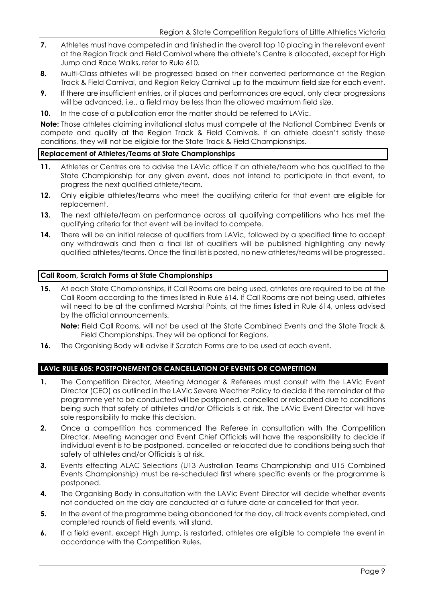- **7.** Athletes must have competed in and finished in the overall top 10 placing in the relevant event at the Region Track and Field Carnival where the athlete's Centre is allocated, except for High Jump and Race Walks, refer to Rule 610.
- **8.** Multi-Class athletes will be progressed based on their converted performance at the Region Track & Field Carnival, and Region Relay Carnival up to the maximum field size for each event.
- **9.** If there are insufficient entries, or if places and performances are equal, only clear progressions will be advanced, i.e., a field may be less than the allowed maximum field size.
- **10.** In the case of a publication error the matter should be referred to LAVic.

**Note:** Those athletes claiming invitational status must compete at the National Combined Events or compete and qualify at the Region Track & Field Carnivals. If an athlete doesn't satisfy these conditions, they will not be eligible for the State Track & Field Championships.

# **Replacement of Athletes/Teams at State Championships**

- **11.** Athletes or Centres are to advise the LAVic office if an athlete/team who has qualified to the State Championship for any given event, does not intend to participate in that event, to progress the next qualified athlete/team.
- 12. Only eligible athletes/teams who meet the qualifying criteria for that event are eligible for replacement.
- **13.** The next athlete/team on performance across all qualifying competitions who has met the qualifying criteria for that event will be invited to compete.
- **14.** There will be an initial release of qualifiers from LAVic, followed by a specified time to accept any withdrawals and then a final list of qualifiers will be published highlighting any newly qualified athletes/teams. Once the final list is posted, no new athletes/teams will be progressed.

## **Call Room, Scratch Forms at State Championships**

**15.** At each State Championships, if Call Rooms are being used, athletes are required to be at the Call Room according to the times listed in Rule 614. If Call Rooms are not being used, athletes will need to be at the confirmed Marshal Points, at the times listed in Rule 614, unless advised by the official announcements.

**Note:** Field Call Rooms, will not be used at the State Combined Events and the State Track & Field Championships. They will be optional for Regions.

**16.** The Organising Body will advise if Scratch Forms are to be used at each event.

# **LAVic RULE 605: POSTPONEMENT OR CANCELLATION OF EVENTS OR COMPETITION**

- **1.** The Competition Director, Meeting Manager & Referees must consult with the LAVic Event Director (CEO) as outlined in the LAVic Severe Weather Policy to decide if the remainder of the programme yet to be conducted will be postponed, cancelled or relocated due to conditions being such that safety of athletes and/or Officials is at risk. The LAVic Event Director will have sole responsibility to make this decision.
- **2.** Once a competition has commenced the Referee in consultation with the Competition Director, Meeting Manager and Event Chief Officials will have the responsibility to decide if individual event is to be postponed, cancelled or relocated due to conditions being such that safety of athletes and/or Officials is at risk.
- **3.** Events effecting ALAC Selections (U13 Australian Teams Championship and U15 Combined Events Championship) must be re-scheduled first where specific events or the programme is postponed.
- **4.** The Organising Body in consultation with the LAVic Event Director will decide whether events not conducted on the day are conducted at a future date or cancelled for that year.
- **5.** In the event of the programme being abandoned for the day, all track events completed, and completed rounds of field events, will stand.
- **6.** If a field event, except High Jump, is restarted, athletes are eligible to complete the event in accordance with the Competition Rules.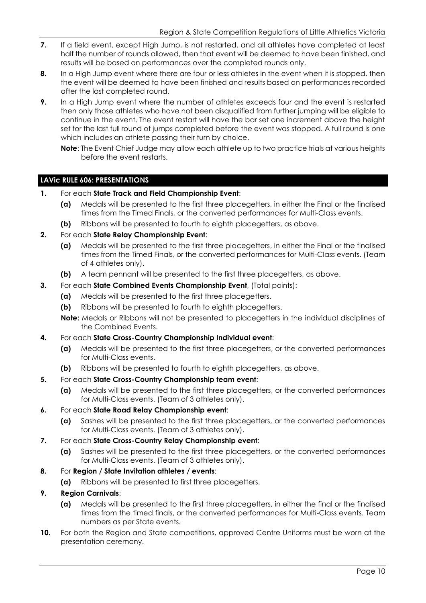- **7.** If a field event, except High Jump, is not restarted, and all athletes have completed at least half the number of rounds allowed, then that event will be deemed to have been finished, and results will be based on performances over the completed rounds only.
- **8.** In a High Jump event where there are four or less athletes in the event when it is stopped, then the event will be deemed to have been finished and results based on performances recorded after the last completed round.
- **9.** In a High Jump event where the number of athletes exceeds four and the event is restarted then only those athletes who have not been disqualified from further jumping will be eligible to continue in the event. The event restart will have the bar set one increment above the height set for the last full round of jumps completed before the event was stopped. A full round is one which includes an athlete passing their turn by choice.
	- **Note**: The Event Chief Judge may allow each athlete up to two practice trials at various heights before the event restarts.

# **LAVic RULE 606: PRESENTATIONS**

- **1.** For each **State Track and Field Championship Event**:
	- **(a)** Medals will be presented to the first three placegetters, in either the Final or the finalised times from the Timed Finals, or the converted performances for Multi-Class events.
	- **(b)** Ribbons will be presented to fourth to eighth placegetters, as above.
- **2.** For each **State Relay Championship Event**:
	- **(a)** Medals will be presented to the first three placegetters, in either the Final or the finalised times from the Timed Finals, or the converted performances for Multi-Class events. (Team of 4 athletes only).
	- **(b)** A team pennant will be presented to the first three placegetters, as above.
- **3.** For each **State Combined Events Championship Event**, (Total points):
	- **(a)** Medals will be presented to the first three placegetters.
	- **(b)** Ribbons will be presented to fourth to eighth placegetters.
	- **Note:** Medals or Ribbons will not be presented to placegetters in the individual disciplines of the Combined Events.
- **4.** For each **State Cross-Country Championship Individual event**:
	- **(a)** Medals will be presented to the first three placegetters, or the converted performances for Multi-Class events.
	- **(b)** Ribbons will be presented to fourth to eighth placegetters, as above.
- **5.** For each **State Cross-Country Championship team event**:
	- **(a)** Medals will be presented to the first three placegetters, or the converted performances for Multi-Class events. (Team of 3 athletes only).
- **6.** For each **State Road Relay Championship event**:
	- **(a)** Sashes will be presented to the first three placegetters, or the converted performances for Multi-Class events. (Team of 3 athletes only).
- **7.** For each **State Cross-Country Relay Championship event**:
	- **(a)** Sashes will be presented to the first three placegetters, or the converted performances for Multi-Class events. (Team of 3 athletes only).
- **8.** For **Region / State Invitation athletes / events**:
	- **(a)** Ribbons will be presented to first three placegetters.

# **9. Region Carnivals**:

- **(a)** Medals will be presented to the first three placegetters, in either the final or the finalised times from the timed finals, or the converted performances for Multi-Class events. Team numbers as per State events.
- **10.** For both the Region and State competitions, approved Centre Uniforms must be worn at the presentation ceremony.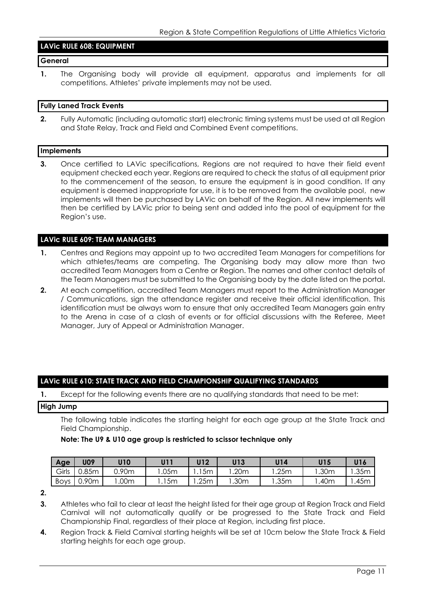# **LAVic RULE 608: EQUIPMENT**

## **General**

**1.** The Organising body will provide all equipment, apparatus and implements for all competitions. Athletes' private implements may not be used.

#### **Fully Laned Track Events**

**2.** Fully Automatic (including automatic start) electronic timing systems must be used at all Region and State Relay, Track and Field and Combined Event competitions.

#### **Implements**

**3.** Once certified to LAVic specifications, Regions are not required to have their field event equipment checked each year. Regions are required to check the status of all equipment prior to the commencement of the season, to ensure the equipment is in good condition. If any equipment is deemed inappropriate for use, it is to be removed from the available pool, new implements will then be purchased by LAVic on behalf of the Region. All new implements will then be certified by LAVic prior to being sent and added into the pool of equipment for the Region's use.

## **LAVic RULE 609: TEAM MANAGERS**

- **1.** Centres and Regions may appoint up to two accredited Team Managers for competitions for which athletes/teams are competing. The Organising body may allow more than two accredited Team Managers from a Centre or Region. The names and other contact details of the Team Managers must be submitted to the Organising body by the date listed on the portal.
- **2.** At each competition, accredited Team Managers must report to the Administration Manager / Communications, sign the attendance register and receive their official identification. This identification must be always worn to ensure that only accredited Team Managers gain entry to the Arena in case of a clash of events or for official discussions with the Referee, Meet Manager, Jury of Appeal or Administration Manager.

#### **LAVic RULE 610: STATE TRACK AND FIELD CHAMPIONSHIP QUALIFYING STANDARDS**

**1.** Except for the following events there are no qualifying standards that need to be met:

#### **High Jump**

The following table indicates the starting height for each age group at the State Track and Field Championship.

# **Note: The U9 & U10 age group is restricted to scissor technique only**

| Age         | <b>U09</b> | U10   | 1111            | U12            | U13  | U14              | U15  | U16  |
|-------------|------------|-------|-----------------|----------------|------|------------------|------|------|
| Girls       | 0.85m      | 0.90m | .05m            | 5 <sub>m</sub> | .20m | .25 <sub>m</sub> | .30m | .35m |
| <b>Boys</b> | 90m        | .00m  | 15 <sub>m</sub> | .25m           | .30m | .35m             | .40m | .45m |

**<sup>2.</sup>**

**3.** Athletes who fail to clear at least the height listed for their age group at Region Track and Field Carnival will not automatically qualify or be progressed to the State Track and Field Championship Final, regardless of their place at Region, including first place.

**4.** Region Track & Field Carnival starting heights will be set at 10cm below the State Track & Field starting heights for each age group.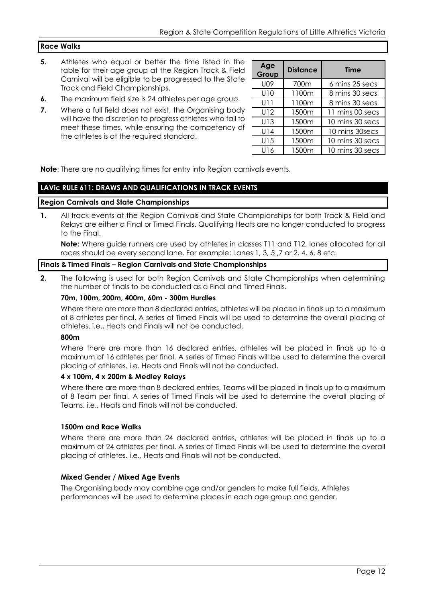# **Race Walks**

- **5.** Athletes who equal or better the time listed in the table for their age group at the Region Track & Field Carnival will be eligible to be progressed to the State Track and Field Championships.
- **6.** The maximum field size is 24 athletes per age group.
- **7.** Where a full field does not exist, the Organising body will have the discretion to progress athletes who fail to meet these times, while ensuring the competency of the athletes is at the required standard.

| Age<br>Group | <b>Distance</b> | <b>Time</b>     |
|--------------|-----------------|-----------------|
| U09          | 700m            | 6 mins 25 secs  |
| U10          | 1100m           | 8 mins 30 secs  |
| U11          | 1100m           | 8 mins 30 secs  |
| U12          | 1500m           | 11 mins 00 secs |
| U13          | 1500m           | 10 mins 30 secs |
| U14          | 1500m           | 10 mins 30secs  |
| U15          | 1500m           | 10 mins 30 secs |
| U16          | 1500m           | 10 mins 30 secs |

**Note**: There are no qualifying times for entry into Region carnivals events.

# **LAVic RULE 611: DRAWS AND QUALIFICATIONS IN TRACK EVENTS**

#### **Region Carnivals and State Championships**

**1.** All track events at the Region Carnivals and State Championships for both Track & Field and Relays are either a Final or Timed Finals. Qualifying Heats are no longer conducted to progress to the Final.

**Note:** Where guide runners are used by athletes in classes T11 and T12, lanes allocated for all races should be every second lane. For example: Lanes 1, 3, 5 ,7 or 2, 4, 6, 8 etc.

# **Finals & Timed Finals – Region Carnivals and State Championships**

**2.** The following is used for both Region Carnivals and State Championships when determining the number of finals to be conducted as a Final and Timed Finals.

#### **70m, 100m, 200m, 400m, 60m - 300m Hurdles**

Where there are more than 8 declared entries, athletes will be placed in finals up to a maximum of 8 athletes per final. A series of Timed Finals will be used to determine the overall placing of athletes. i.e., Heats and Finals will not be conducted.

#### **800m**

Where there are more than 16 declared entries, athletes will be placed in finals up to a maximum of 16 athletes per final. A series of Timed Finals will be used to determine the overall placing of athletes. i.e. Heats and Finals will not be conducted.

#### **4 x 100m, 4 x 200m & Medley Relays**

Where there are more than 8 declared entries, Teams will be placed in finals up to a maximum of 8 Team per final. A series of Timed Finals will be used to determine the overall placing of Teams. i.e., Heats and Finals will not be conducted.

#### **1500m and Race Walks**

Where there are more than 24 declared entries, athletes will be placed in finals up to a maximum of 24 athletes per final. A series of Timed Finals will be used to determine the overall placing of athletes. i.e., Heats and Finals will not be conducted.

#### **Mixed Gender / Mixed Age Events**

The Organising body may combine age and/or genders to make full fields. Athletes performances will be used to determine places in each age group and gender.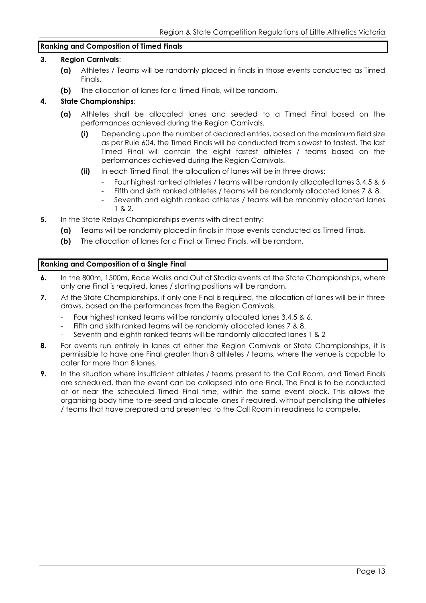## **Ranking and Composition of Timed Finals**

## **3. Region Carnivals**:

- **(a)** Athletes / Teams will be randomly placed in finals in those events conducted as Timed Finals.
- **(b)** The allocation of lanes for a Timed Finals, will be random.

# **4. State Championships**:

- **(a)** Athletes shall be allocated lanes and seeded to a Timed Final based on the performances achieved during the Region Carnivals.
	- **(i)** Depending upon the number of declared entries, based on the maximum field size as per Rule 604, the Timed Finals will be conducted from slowest to fastest. The last Timed Final will contain the eight fastest athletes / teams based on the performances achieved during the Region Carnivals.
	- **(ii)** In each Timed Final, the allocation of lanes will be in three draws:
		- Four highest ranked athletes / teams will be randomly allocated lanes 3,4,5 & 6
		- Fifth and sixth ranked athletes / teams will be randomly allocated lanes 7 & 8.
		- Seventh and eighth ranked athletes / teams will be randomly allocated lanes 1 & 2.
- **5.** In the State Relays Championships events with direct entry:
	- **(a)** Teams will be randomly placed in finals in those events conducted as Timed Finals.
	- **(b)** The allocation of lanes for a Final or Timed Finals, will be random.

# **Ranking and Composition of a Single Final**

- **6.** In the 800m, 1500m, Race Walks and Out of Stadia events at the State Championships, where only one Final is required, lanes / starting positions will be random.
- **7.** At the State Championships, if only one Final is required, the allocation of lanes will be in three draws, based on the performances from the Region Carnivals.
	- Four highest ranked teams will be randomly allocated lanes 3,4,5 & 6.
	- Fifth and sixth ranked teams will be randomly allocated lanes 7 & 8.
	- Seventh and eighth ranked teams will be randomly allocated lanes 1 & 2
- **8.** For events run entirely in lanes at either the Region Carnivals or State Championships, it is permissible to have one Final greater than 8 athletes / teams, where the venue is capable to cater for more than 8 lanes.
- **9.** In the situation where insufficient athletes / teams present to the Call Room, and Timed Finals are scheduled, then the event can be collapsed into one Final. The Final is to be conducted at or near the scheduled Timed Final time, within the same event block. This allows the organising body time to re-seed and allocate lanes if required, without penalising the athletes / teams that have prepared and presented to the Call Room in readiness to compete.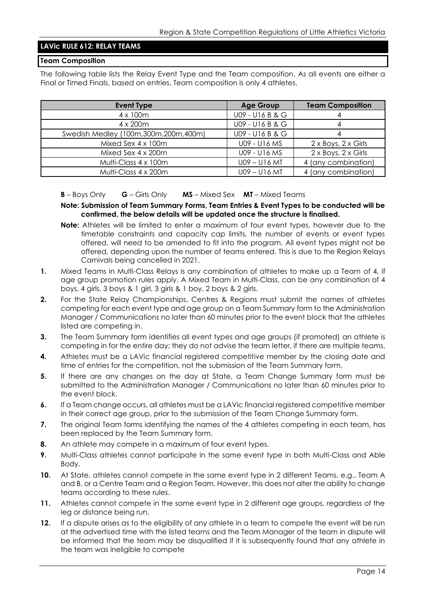# **LAVic RULE 612: RELAY TEAMS**

#### **Team Composition**

The following table lists the Relay Event Type and the Team composition. As all events are either a Final or Timed Finals, based on entries, Team composition is only 4 athletes.

| <b>Event Type</b>                       | <b>Age Group</b> | <b>Team Composition</b>           |
|-----------------------------------------|------------------|-----------------------------------|
| 4 x 100m                                | U09 - U16 B & G  |                                   |
| $4 \times 200$ m                        | U09 - U16 B & G  |                                   |
| Swedish Medley (100m, 300m, 200m, 400m) | U09 - U16 B & G  |                                   |
| Mixed Sex 4 x 100m                      | U09 - U16 MS     | $2 \times$ Boys, $2 \times$ Girls |
| Mixed Sex 4 x 200m                      | U09 - U16 MS     | 2 x Boys, 2 x Girls               |
| Multi-Class 4 x 100m                    | $U09 - U16$ MT   | 4 (any combination)               |
| Multi-Class 4 x 200m                    | U09-U16 MT       | 4 (any combination)               |

#### **B** – Boys Only **G** – Girls Only **MS** – Mixed Sex **MT** – Mixed Teams

**Note: Submission of Team Summary Forms, Team Entries & Event Types to be conducted will be confirmed, the below details will be updated once the structure is finalised.**

- **Note:** Athletes will be limited to enter a maximum of four event types, however due to the timetable constraints and capacity cap limits, the number of events or event types offered, will need to be amended to fit into the program. All event types might not be offered, depending upon the number of teams entered. This is due to the Region Relays Carnivals being cancelled in 2021.
- **1.** Mixed Teams in Multi-Class Relays is any combination of athletes to make up a Team of 4, if age group promotion rules apply. A Mixed Team in Multi-Class, can be any combination of 4 boys, 4 girls, 3 boys & 1 girl, 3 girls & 1 boy, 2 boys & 2 girls.
- **2.** For the State Relay Championships, Centres & Regions must submit the names of athletes competing for each event type and age group on a Team Summary form to the Administration Manager / Communications no later than 60 minutes prior to the event block that the athletes listed are competing in.
- **3.** The Team Summary form identifies all event types and age groups (if promoted) an athlete is competing in for the entire day; they do not advise the team letter, if there are multiple teams.
- **4.** Athletes must be a LAVic financial registered competitive member by the closing date and time of entries for the competition, not the submission of the Team Summary form.
- **5.** If there are any changes on the day at State, a Team Change Summary form must be submitted to the Administration Manager / Communications no later than 60 minutes prior to the event block.
- **6.** If a Team change occurs, all athletes must be a LAVic financial registered competitive member in their correct age group, prior to the submission of the Team Change Summary form.
- **7.** The original Team forms identifying the names of the 4 athletes competing in each team, has been replaced by the Team Summary form.
- **8.** An athlete may compete in a maximum of four event types.
- **9.** Multi-Class athletes cannot participate in the same event type in both Multi-Class and Able Body.
- **10.** At State, athletes cannot compete in the same event type in 2 different Teams, e.g., Team A and B, or a Centre Team and a Region Team. However, this does not alter the ability to change teams according to these rules.
- **11.** Athletes cannot compete in the same event type in 2 different age groups, regardless of the leg or distance being run.
- 12. If a dispute arises as to the eligibility of any athlete in a team to compete the event will be run at the advertised time with the listed teams and the Team Manager of the team in dispute will be informed that the team may be disqualified if it is subsequently found that any athlete in the team was ineligible to compete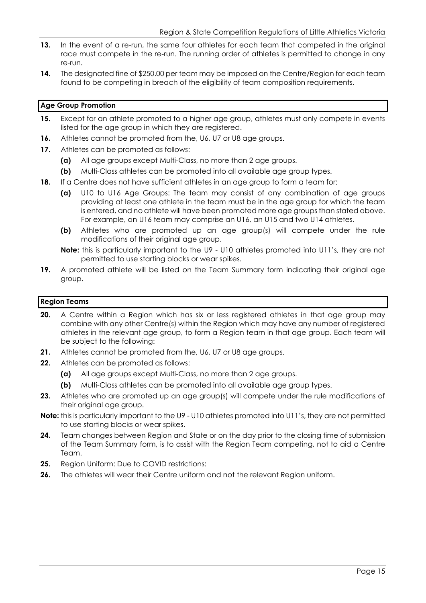- **13.** In the event of a re-run, the same four athletes for each team that competed in the original race must compete in the re-run. The running order of athletes is permitted to change in any re-run.
- **14.** The designated fine of \$250.00 per team may be imposed on the Centre/Region for each team found to be competing in breach of the eligibility of team composition requirements.

# **Age Group Promotion**

- **15.** Except for an athlete promoted to a higher age group, athletes must only compete in events listed for the age group in which they are registered.
- **16.** Athletes cannot be promoted from the, U6, U7 or U8 age groups.
- **17.** Athletes can be promoted as follows:
	- **(a)** All age groups except Multi-Class, no more than 2 age groups.
	- **(b)** Multi-Class athletes can be promoted into all available age group types.
- **18.** If a Centre does not have sufficient athletes in an age group to form a team for:
	- **(a)** U10 to U16 Age Groups: The team may consist of any combination of age groups providing at least one athlete in the team must be in the age group for which the team is entered, and no athlete will have been promoted more age groups than stated above. For example, an U16 team may comprise an U16, an U15 and two U14 athletes.
	- **(b)** Athletes who are promoted up an age group(s) will compete under the rule modifications of their original age group.
	- **Note:** this is particularly important to the U9 U10 athletes promoted into U11's, they are not permitted to use starting blocks or wear spikes.
- **19.** A promoted athlete will be listed on the Team Summary form indicating their original age group.

# **Region Teams**

- **20.** A Centre within a Region which has six or less registered athletes in that age group may combine with any other Centre(s) within the Region which may have any number of registered athletes in the relevant age group, to form a Region team in that age group. Each team will be subject to the following:
- **21.** Athletes cannot be promoted from the, U6, U7 or U8 age groups.
- **22.** Athletes can be promoted as follows:
	- **(a)** All age groups except Multi-Class, no more than 2 age groups.
	- **(b)** Multi-Class athletes can be promoted into all available age group types.
- 23. Athletes who are promoted up an age group(s) will compete under the rule modifications of their original age group.
- **Note:** this is particularly important to the U9 U10 athletes promoted into U11's, they are not permitted to use starting blocks or wear spikes.
- **24.** Team changes between Region and State or on the day prior to the closing time of submission of the Team Summary form, is to assist with the Region Team competing, not to aid a Centre Team.
- **25.** Region Uniform: Due to COVID restrictions:
- **26.** The athletes will wear their Centre uniform and not the relevant Region uniform.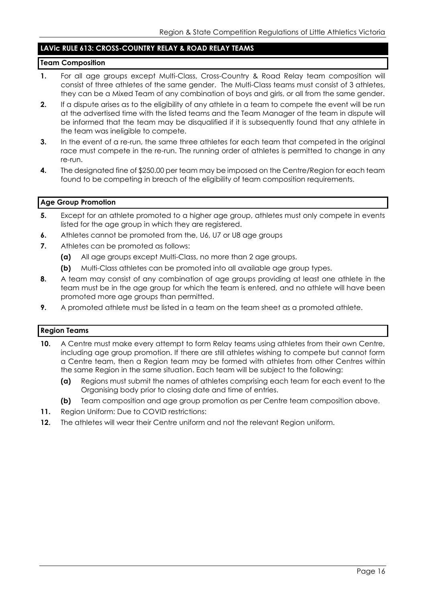# **LAVic RULE 613: CROSS-COUNTRY RELAY & ROAD RELAY TEAMS**

## **Team Composition**

- 1. For all age groups except Multi-Class, Cross-Country & Road Relay team composition will consist of three athletes of the same gender. The Multi-Class teams must consist of 3 athletes, they can be a Mixed Team of any combination of boys and girls, or all from the same gender.
- **2.** If a dispute arises as to the eligibility of any athlete in a team to compete the event will be run at the advertised time with the listed teams and the Team Manager of the team in dispute will be informed that the team may be disqualified if it is subsequently found that any athlete in the team was ineligible to compete.
- **3.** In the event of a re-run, the same three athletes for each team that competed in the original race must compete in the re-run. The running order of athletes is permitted to change in any re-run.
- **4.** The designated fine of \$250.00 per team may be imposed on the Centre/Region for each team found to be competing in breach of the eligibility of team composition requirements.

# **Age Group Promotion**

- **5.** Except for an athlete promoted to a higher age group, athletes must only compete in events listed for the age group in which they are registered.
- **6.** Athletes cannot be promoted from the, U6, U7 or U8 age groups
- **7.** Athletes can be promoted as follows:
	- **(a)** All age groups except Multi-Class, no more than 2 age groups.
	- **(b)** Multi-Class athletes can be promoted into all available age group types.
- **8.** A team may consist of any combination of age groups providing at least one athlete in the team must be in the age group for which the team is entered, and no athlete will have been promoted more age groups than permitted.
- **9.** A promoted athlete must be listed in a team on the team sheet as a promoted athlete.

# **Region Teams**

- **10.** A Centre must make every attempt to form Relay teams using athletes from their own Centre, including age group promotion. If there are still athletes wishing to compete but cannot form a Centre team, then a Region team may be formed with athletes from other Centres within the same Region in the same situation. Each team will be subject to the following:
	- **(a)** Regions must submit the names of athletes comprising each team for each event to the Organising body prior to closing date and time of entries.
	- **(b)** Team composition and age group promotion as per Centre team composition above.
- **11.** Region Uniform: Due to COVID restrictions:
- **12.** The athletes will wear their Centre uniform and not the relevant Region uniform.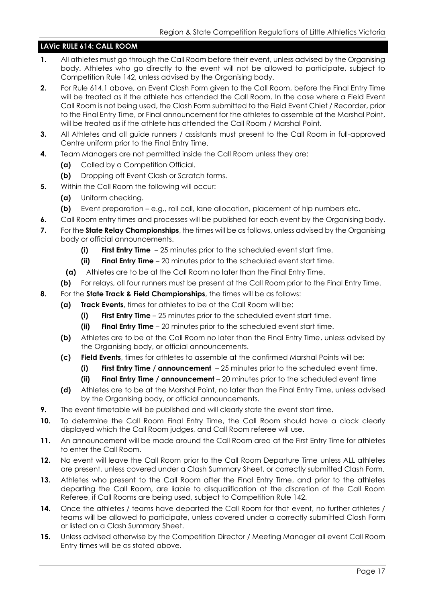# **LAVic RULE 614: CALL ROOM**

- **1.** All athletes must go through the Call Room before their event, unless advised by the Organising body. Athletes who go directly to the event will not be allowed to participate, subject to Competition Rule 142, unless advised by the Organising body.
- **2.** For Rule 614.1 above, an Event Clash Form given to the Call Room, before the Final Entry Time will be treated as if the athlete has attended the Call Room. In the case where a Field Event Call Room is not being used, the Clash Form submitted to the Field Event Chief / Recorder, prior to the Final Entry Time, or Final announcement for the athletes to assemble at the Marshal Point, will be treated as if the athlete has attended the Call Room / Marshal Point.
- **3.** All Athletes and all guide runners / assistants must present to the Call Room in full-approved Centre uniform prior to the Final Entry Time.
- **4.** Team Managers are not permitted inside the Call Room unless they are:
	- **(a)** Called by a Competition Official.
	- **(b)** Dropping off Event Clash or Scratch forms.
- **5.** Within the Call Room the following will occur:
	- **(a)** Uniform checking.
	- **(b)** Event preparation e.g., roll call, lane allocation, placement of hip numbers etc.
- **6.** Call Room entry times and processes will be published for each event by the Organising body.
- **7.** For the **State Relay Championships**, the times will be as follows, unless advised by the Organising body or official announcements.
	- **(i) First Entry Time** 25 minutes prior to the scheduled event start time.
	- **(ii) Final Entry Time** 20 minutes prior to the scheduled event start time.
	- **(a)** Athletes are to be at the Call Room no later than the Final Entry Time.
	- **(b)** For relays, all four runners must be present at the Call Room prior to the Final Entry Time.
- **8.** For the **State Track & Field Championships**, the times will be as follows:
	- **(a) Track Events**, times for athletes to be at the Call Room will be:
		- **(i) First Entry Time** 25 minutes prior to the scheduled event start time.
		- **(ii) Final Entry Time** 20 minutes prior to the scheduled event start time.
	- **(b)** Athletes are to be at the Call Room no later than the Final Entry Time, unless advised by the Organising body, or official announcements.
	- **(c) Field Events**, times for athletes to assemble at the confirmed Marshal Points will be:
		- **(i) First Entry Time / announcement** 25 minutes prior to the scheduled event time.
		- **(ii) Final Entry Time / announcement** 20 minutes prior to the scheduled event time
	- **(d)** Athletes are to be at the Marshal Point, no later than the Final Entry Time, unless advised by the Organising body, or official announcements.
- **9.** The event timetable will be published and will clearly state the event start time.
- **10.** To determine the Call Room Final Entry Time, the Call Room should have a clock clearly displayed which the Call Room judges, and Call Room referee will use.
- **11.** An announcement will be made around the Call Room area at the First Entry Time for athletes to enter the Call Room.
- **12.** No event will leave the Call Room prior to the Call Room Departure Time unless ALL athletes are present, unless covered under a Clash Summary Sheet, or correctly submitted Clash Form.
- **13.** Athletes who present to the Call Room after the Final Entry Time, and prior to the athletes departing the Call Room, are liable to disqualification at the discretion of the Call Room Referee, if Call Rooms are being used, subject to Competition Rule 142.
- **14.** Once the athletes / teams have departed the Call Room for that event, no further athletes / teams will be allowed to participate, unless covered under a correctly submitted Clash Form or listed on a Clash Summary Sheet.
- **15.** Unless advised otherwise by the Competition Director / Meeting Manager all event Call Room Entry times will be as stated above.